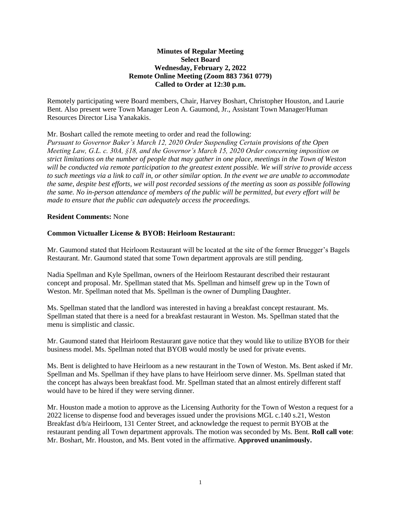# **Minutes of Regular Meeting Select Board Wednesday, February 2, 2022 Remote Online Meeting (Zoom 883 7361 0779) Called to Order at 12:30 p.m.**

Remotely participating were Board members, Chair, Harvey Boshart, Christopher Houston, and Laurie Bent. Also present were Town Manager Leon A. Gaumond, Jr., Assistant Town Manager/Human Resources Director Lisa Yanakakis.

# Mr. Boshart called the remote meeting to order and read the following:

*Pursuant to Governor Baker's March 12, 2020 Order Suspending Certain provisions of the Open Meeting Law, G.L. c. 30A, §18, and the Governor's March 15, 2020 Order concerning imposition on strict limitations on the number of people that may gather in one place, meetings in the Town of Weston will be conducted via remote participation to the greatest extent possible. We will strive to provide access to such meetings via a link to call in, or other similar option. In the event we are unable to accommodate the same, despite best efforts, we will post recorded sessions of the meeting as soon as possible following the same. No in-person attendance of members of the public will be permitted, but every effort will be made to ensure that the public can adequately access the proceedings.*

# **Resident Comments:** None

# **Common Victualler License & BYOB: Heirloom Restaurant:**

Mr. Gaumond stated that Heirloom Restaurant will be located at the site of the former Bruegger's Bagels Restaurant. Mr. Gaumond stated that some Town department approvals are still pending.

Nadia Spellman and Kyle Spellman, owners of the Heirloom Restaurant described their restaurant concept and proposal. Mr. Spellman stated that Ms. Spellman and himself grew up in the Town of Weston. Mr. Spellman noted that Ms. Spellman is the owner of Dumpling Daughter.

Ms. Spellman stated that the landlord was interested in having a breakfast concept restaurant. Ms. Spellman stated that there is a need for a breakfast restaurant in Weston. Ms. Spellman stated that the menu is simplistic and classic.

Mr. Gaumond stated that Heirloom Restaurant gave notice that they would like to utilize BYOB for their business model. Ms. Spellman noted that BYOB would mostly be used for private events.

Ms. Bent is delighted to have Heirloom as a new restaurant in the Town of Weston. Ms. Bent asked if Mr. Spellman and Ms. Spellman if they have plans to have Heirloom serve dinner. Ms. Spellman stated that the concept has always been breakfast food. Mr. Spellman stated that an almost entirely different staff would have to be hired if they were serving dinner.

Mr. Houston made a motion to approve as the Licensing Authority for the Town of Weston a request for a 2022 license to dispense food and beverages issued under the provisions MGL c.140 s.21, Weston Breakfast d/b/a Heirloom, 131 Center Street, and acknowledge the request to permit BYOB at the restaurant pending all Town department approvals. The motion was seconded by Ms. Bent. **Roll call vote**: Mr. Boshart, Mr. Houston, and Ms. Bent voted in the affirmative. **Approved unanimously.**